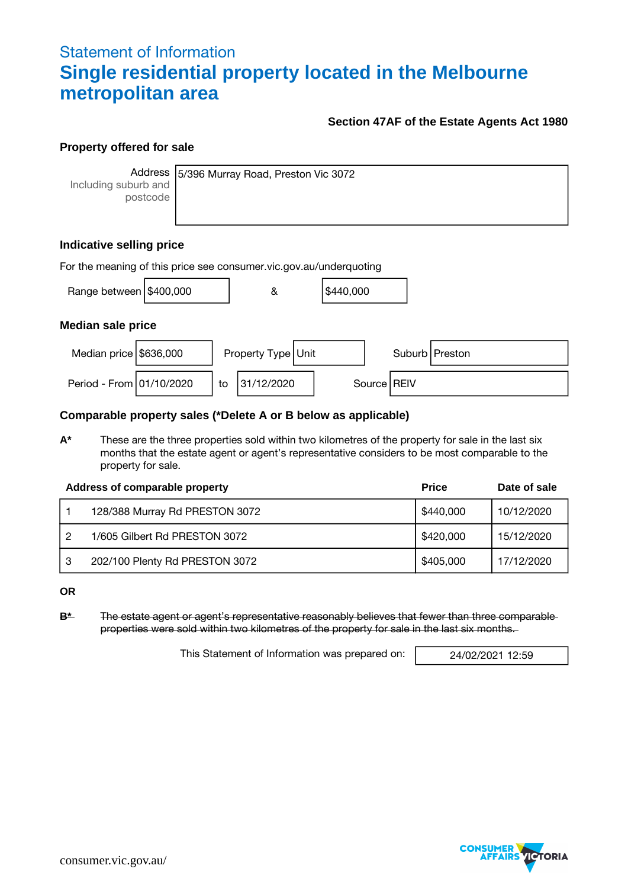## Statement of Information **Single residential property located in the Melbourne metropolitan area**

## **Section 47AF of the Estate Agents Act 1980**

### **Property offered for sale**

**Address** Including suburb and postcode

5/396 Murray Road, Preston Vic 3072

## **Indicative selling price**

| For the meaning of this price see consumer vic.gov.au/underquoting |  |    |                    |  |           |  |               |                  |
|--------------------------------------------------------------------|--|----|--------------------|--|-----------|--|---------------|------------------|
| Range between $\frac{16400,000}{1000}$                             |  |    | &                  |  | \$440,000 |  |               |                  |
| <b>Median sale price</b>                                           |  |    |                    |  |           |  |               |                  |
| Median price \$636,000                                             |  |    | Property Type Unit |  |           |  |               | Suburb   Preston |
| Period - From 01/10/2020                                           |  | to | 31/12/2020         |  |           |  | Source   REIV |                  |

### **Comparable property sales (\*Delete A or B below as applicable)**

**A\*** These are the three properties sold within two kilometres of the property for sale in the last six months that the estate agent or agent's representative considers to be most comparable to the property for sale.

|    | Address of comparable property | <b>Price</b> | Date of sale |
|----|--------------------------------|--------------|--------------|
|    | 128/388 Murray Rd PRESTON 3072 | \$440,000    | 10/12/2020   |
|    | 1/605 Gilbert Rd PRESTON 3072  | \$420,000    | 15/12/2020   |
| -3 | 202/100 Plenty Rd PRESTON 3072 | \$405,000    | 17/12/2020   |

**OR**

**B\*** The estate agent or agent's representative reasonably believes that fewer than three comparable properties were sold within two kilometres of the property for sale in the last six months.

This Statement of Information was prepared on: 24/02/2021 12:59